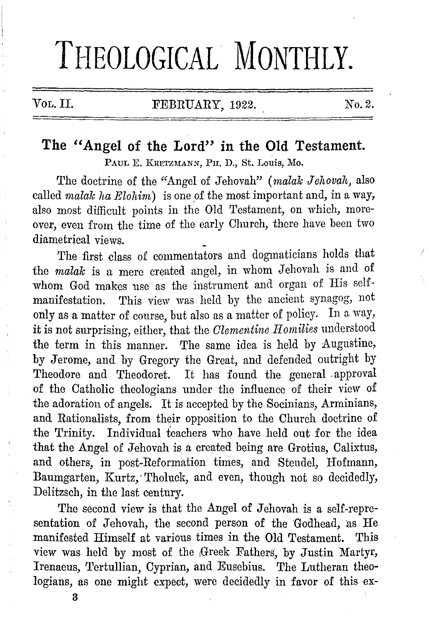# **THEOLOGICAL MONTHLY.**

# Vol. II. FEBRUARY, 1922. No. 2.

# **The "Angel of the Lord" in the Old Testament.**

PAUL E. KRETZMANN, PH. D., St. Louis, Mo.

The doctrine of the "Angel of Jehovah" ( *malalc Jehovah,* also called *malak ha Elohim*) is one of the most important and, in a way, also most difficult points in the Old Testament, on which, moreover, even from the time of the early Church, there have been two diametrical views.

The first class of commentators and dogmaticians holds that the *malak* is a mere created angel, in whom Jehovah is and of whom God makes use as the instrument and organ of His selfmanifestation. This view was held by the ancient synagog, not only as a matter of course, but also as a matter of policy. In a way, it is not surprising, either, that the *Clementine II omilies* understood the term in this manner. The same idea is held by Augustine, by Jerome, and by Gregory the Great, and defended outright by Theodore and Theodoret. It has found the general approval of the Catholic theologians under the influence of their view of the adoration of angels. It is accepted by the Socinians, Arminians, and Rationalists, from their opposition to the Church doctrine of the Trinity. Individual teachers who have held out for the idea that the Angel of Jehovah is a created being are Grotius, Calixtus, and others, in post-Reformation times, and Steudel, Hofmann, Baumgarten, Kurtz, Tholuck, and even, though not so decidedly, Delitzsch, in the last century.

The second view is that the Angel of Jehovah is a self-representation of Jehovah, the second person of the Godhead, as He manifested Himself at various times in the Old Testament. This view was held by most of the 1Greek Fathers, by Justin Martyr, Irenaeus, Tertullian, Cyprian, and Eusebius. The Lutheran theologians, as one might expect, were decidedly in favor of this ex-

3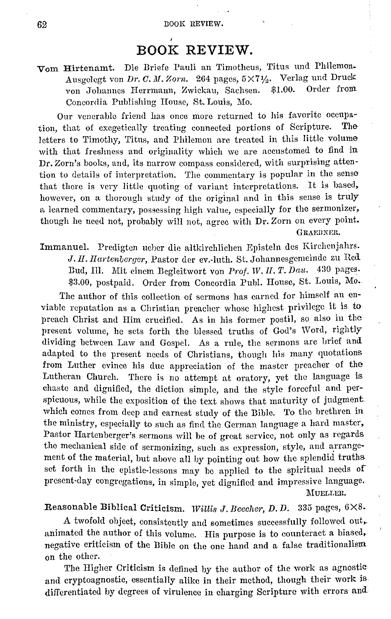# **BOOK REVIEW.**

#### Vom Hirtenamt. Die Briefe Pauli an Timotheus, Titus und Philemon. Ausgelegt von *Dr. C. M. Zorn.* 264 pages,  $5 \times 7\frac{1}{2}$ . Verlag und Druck<br>von Johannes Herrmann, Zwiekau, Sachsen. \$1.00. Order from von Johannes Herrmann, Zwickau, Sachsen. Concordia Publishing Honse, St. Louis, Mo.

Our venerable friend has once more returned to his favorite occupa-<br>that of execution we connected portions of Scripture. The tion, that of exegetically treating connected portions of Scripture. letters to Timothy, Titus, and Philemon are treated in this little volume with that freshness and originality which we are accustomed to find in Dr. Zom's books, and, its narrow compass considered, with surprising atten· tion to details of interpretation. The commentary is popular in the sense that there is very little quoting of variant interpretations. It is based, however, on a thorough study of the original and in this sense is truly a learned commentary, possessing high value, especially for the sermonizer, though he need not, probably will not, agree with Dr. Zorn on every point. GRAEBNER.

Immanuel. Predigten ueber die altkirchlichen Episteln des Kirchenjahrs. J. II. *llartenbergcr,* Pastor der ev.-luth. St. Johannesgemciude zu Red Bud, Ill. Mit einem Begleitwort von Prof. W. II. T. Dau. 430 pages. \$3.00, postpaid. Order from Concordia Publ. House, St. Louis, Mo.

The author of this collection of sermons has earned for himself an enviable reputation as a Christian preacher whose highest privilege it is to preach Christ and Him crucified. As in his former postil, so also in the present volume, he sets forth the blessed truths of God's Word, rightly dividing between Law and Gospel. As a rule, the sermons are brief and adapted to the present needs of Christians, though his many quotations from Luther evince his due appreciation of the master preacher of the Lutheran Church. There is no attempt at oratory, yet the language is chaste and dignified, the diction simple, and the style forceful and perspicuous, while the exposition of the text shows that maturity of judgment which comes from deep and earnest study of the Bible. To the brethren in the ministry, especially to such as find the German language a hard master, Pastor Hartenberger's sermons will be of great service, not only as regards the mechanical side of sermonizing, such as expression, style, and arrangement of the material, hut above all hy pointing out how the splendid truths set forth in the epistle-lessons may be applied to the spiritual needs of present-day congregations, in simple, yet dignified and impressive language. MUELLER.

#### Reasonable Biblical Criticism. *Willis J. Beecher, D. D.* 335 pages,  $6 \times 8$ .

A twofold ohject, consistently and sometimes successfully followed out,. animated the author of this volume. His purpose is to counteract a biased, negative criticism of the Dible on the one hand and a false traditionalism on the other.

The Higher Criticism is defined by the author of the work as agnostic and cryptoagnostic, essentially alike in their method, though their work is differentiated by degrees of virulence in charging Scripture with errors and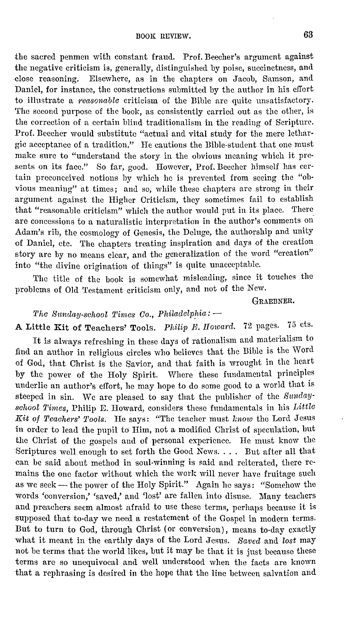the sacred penmen with constant fraud. Prof. Beecher's argument against the negative criticism is, generally, distinguished by poise, succinctness, and close reasoning. Elsewhere, as in the chapters on Jacob. Samson, and Elsewhere, as in the chapters on Jacob, Samson, and Daniel, for instance, the constructions submitted by the author in his effort to illustrate a *reasonable* criticism of the Bible are quite unsatisfactory. The second purpose of the book, as consistently carried out as the other, is the correction of a certain blind traditionalism in the reading of Scripture. Prof. Beecher would substitute "actual and vital study for the mere lethargic acceptance of a tradition." Ile cautions the Bible-student that one must make sure to "understand the story in the obvious meaning which it presents on its face." So far, good. However, Prof. Beecher himself has certain preconceived notions by which he is prevented from seeing the "obvious meaning" at times; and so, while these chapters arc strong in their argument against the Higher Criticism, they sometimes fail to establish that "reasonable criticism" which the author would put in its place. There are concessions to a naturalistic interpretation in the author's comments on Adam's rib, the cosmology of Genesis, the Deluge, the authorship and unity of Daniel, etc. The chapters treating inspiration and days of the creation story are by no means clear, and the generalization of the word "creation" into "the divine origination of things" is quite unacceptable.

The title of the book is somewhat misleading, since it touches the problems of Old Testament criticism only, and not of the New.

#### GRAEBNER.

## The Sunday-school Times Co., Philadelphia: --

A Little Kit of Teachers' Tools. *Philip E. Howard.* 72 pages. 75 cts.

It is always refreshing in these days of rationalism and materialism to find an author in religious circles who believes that the Bible is the Word of God, that Christ is the Savior, and that faith is wrought in the heart by the power of the Holy Spirit. Where these fundamental principles underlie an author's effort, he may hope to do some good to a world that is steeped in sin. We arc pleased to say that the publisher of the *Snndaysahool Times,* Philip E. Howard, considers these fundamentals in his *Little*  Kit of Teachers' Tools. He says: "The teacher must *know* the Lord Jesus in order to lead the pupil to Him, not a modified Christ of speculation, hut the Christ of the gospels and of personal experience. He must know the Scriptures well enough to set forth the Good News. . . . But after all that can be said about method in soul-winning is said and reiterated, there remains the one factor without which the work will never have fruitage such as we seek - the power of the Holy Spirit." Again he says: "Somehow the words 'conversion,' 'saved,' and 'lost' arc fallen into disuse. Many teachers and preachers seem almost afraid to use these terms, perhaps because it is supposed that to-day we need a restatement of the Gospel in modern terms. But to turn to God, through Christ (or conversion), means to-day exactly what it meant in the earthly days of the Lord Jesus. *Saved* and *lost* may not be terms that the world likes, but it may be that it is just because these terms are so unequivocal and well understood when the facts are known that a rephrasing is desired in the hope that the line between salvation and